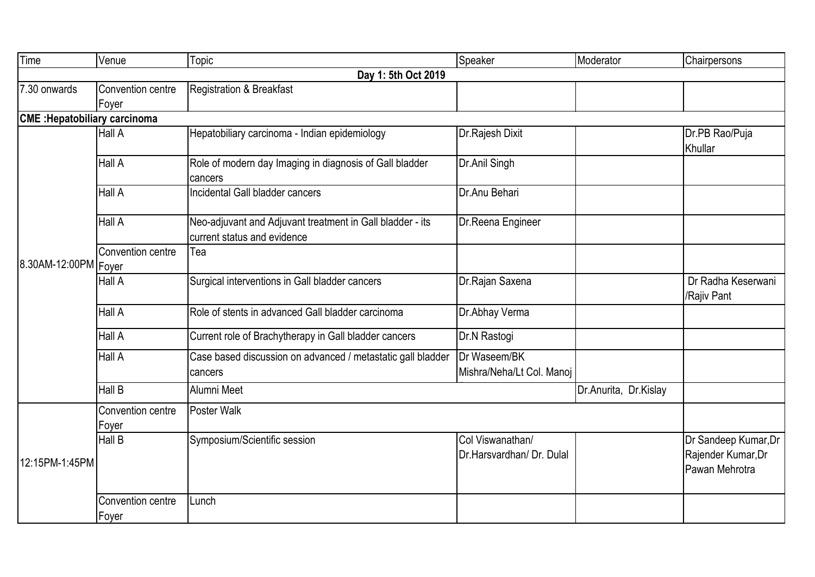| Time                                 | Venue                      | Topic                                                                                    | Speaker                                       | Moderator             | Chairpersons                                                 |
|--------------------------------------|----------------------------|------------------------------------------------------------------------------------------|-----------------------------------------------|-----------------------|--------------------------------------------------------------|
|                                      |                            | Day 1: 5th Oct 2019                                                                      |                                               |                       |                                                              |
| 7.30 onwards                         | Convention centre          | <b>Registration &amp; Breakfast</b>                                                      |                                               |                       |                                                              |
|                                      | Foyer                      |                                                                                          |                                               |                       |                                                              |
| <b>CME</b> : Hepatobiliary carcinoma |                            |                                                                                          |                                               |                       |                                                              |
| 8.30AM-12:00PM   Foyer               | <b>Hall A</b>              | Hepatobiliary carcinoma - Indian epidemiology                                            | Dr. Rajesh Dixit                              |                       | Dr.PB Rao/Puja<br>Khullar                                    |
|                                      | Hall A                     | Role of modern day Imaging in diagnosis of Gall bladder<br>cancers                       | Dr.Anil Singh                                 |                       |                                                              |
|                                      | Hall A                     | Incidental Gall bladder cancers                                                          | Dr.Anu Behari                                 |                       |                                                              |
|                                      | Hall A                     | Neo-adjuvant and Adjuvant treatment in Gall bladder - its<br>current status and evidence | Dr.Reena Engineer                             |                       |                                                              |
|                                      | Convention centre          | Tea                                                                                      |                                               |                       |                                                              |
|                                      | Hall A                     | Surgical interventions in Gall bladder cancers                                           | Dr. Rajan Saxena                              |                       | Dr Radha Keserwani<br>/Rajiv Pant                            |
|                                      | Hall A                     | Role of stents in advanced Gall bladder carcinoma                                        | Dr.Abhay Verma                                |                       |                                                              |
|                                      | Hall A                     | Current role of Brachytherapy in Gall bladder cancers                                    | Dr.N Rastogi                                  |                       |                                                              |
|                                      | Hall A                     | Case based discussion on advanced / metastatic gall bladder<br>cancers                   | Dr Waseem/BK<br>Mishra/Neha/Lt Col. Manoj     |                       |                                                              |
|                                      | Hall B                     | Alumni Meet                                                                              |                                               | Dr.Anurita, Dr.Kislay |                                                              |
| 12:15PM-1:45PM                       | Convention centre<br>Foyer | Poster Walk                                                                              |                                               |                       |                                                              |
|                                      | Hall B                     | Symposium/Scientific session                                                             | Col Viswanathan/<br>Dr.Harsvardhan/ Dr. Dulal |                       | Dr Sandeep Kumar, Dr<br>Rajender Kumar, Dr<br>Pawan Mehrotra |
|                                      | Convention centre<br>Foyer | Lunch                                                                                    |                                               |                       |                                                              |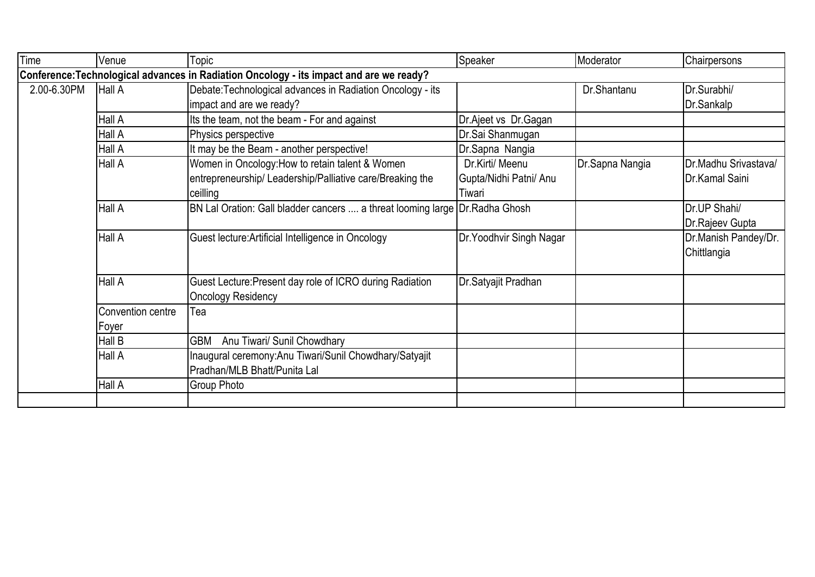| Time                                                                                    | Venue             | Topic                                                                        | Speaker                  | Moderator       | Chairpersons          |  |  |  |
|-----------------------------------------------------------------------------------------|-------------------|------------------------------------------------------------------------------|--------------------------|-----------------|-----------------------|--|--|--|
| Conference: Technological advances in Radiation Oncology - its impact and are we ready? |                   |                                                                              |                          |                 |                       |  |  |  |
| 2.00-6.30PM                                                                             | Hall A            | Debate: Technological advances in Radiation Oncology - its                   |                          | Dr.Shantanu     | Dr.Surabhi/           |  |  |  |
|                                                                                         |                   | impact and are we ready?                                                     |                          |                 | Dr.Sankalp            |  |  |  |
|                                                                                         | Hall A            | Its the team, not the beam - For and against                                 | Dr.Ajeet vs Dr.Gagan     |                 |                       |  |  |  |
|                                                                                         | Hall A            | Physics perspective                                                          | Dr.Sai Shanmugan         |                 |                       |  |  |  |
|                                                                                         | Hall A            | It may be the Beam - another perspective!                                    | Dr.Sapna Nangia          |                 |                       |  |  |  |
|                                                                                         | Hall A            | Women in Oncology: How to retain talent & Women                              | Dr.Kirti/ Meenu          | Dr.Sapna Nangia | Dr.Madhu Srivastava/  |  |  |  |
|                                                                                         |                   | entrepreneurship/ Leadership/Palliative care/Breaking the                    | Gupta/Nidhi Patni/ Anu   |                 | Dr.Kamal Saini        |  |  |  |
|                                                                                         |                   | ceilling                                                                     | Tiwari                   |                 |                       |  |  |  |
|                                                                                         | Hall A            | BN Lal Oration: Gall bladder cancers  a threat looming large Dr. Radha Ghosh |                          |                 | Dr.UP Shahi/          |  |  |  |
|                                                                                         |                   |                                                                              |                          |                 | Dr.Rajeev Gupta       |  |  |  |
|                                                                                         | Hall A            | Guest lecture: Artificial Intelligence in Oncology                           | Dr. Yoodhvir Singh Nagar |                 | Dr. Manish Pandey/Dr. |  |  |  |
|                                                                                         |                   |                                                                              |                          |                 | Chittlangia           |  |  |  |
|                                                                                         |                   |                                                                              |                          |                 |                       |  |  |  |
|                                                                                         | Hall A            | Guest Lecture: Present day role of ICRO during Radiation                     | Dr.Satyajit Pradhan      |                 |                       |  |  |  |
|                                                                                         |                   | <b>Oncology Residency</b>                                                    |                          |                 |                       |  |  |  |
|                                                                                         | Convention centre | Tea                                                                          |                          |                 |                       |  |  |  |
|                                                                                         | Foyer             |                                                                              |                          |                 |                       |  |  |  |
|                                                                                         | Hall B            | GBM<br>Anu Tiwari/ Sunil Chowdhary                                           |                          |                 |                       |  |  |  |
|                                                                                         | Hall A            | Inaugural ceremony: Anu Tiwari/Sunil Chowdhary/Satyajit                      |                          |                 |                       |  |  |  |
|                                                                                         |                   | Pradhan/MLB Bhatt/Punita Lal                                                 |                          |                 |                       |  |  |  |
|                                                                                         | Hall A            | Group Photo                                                                  |                          |                 |                       |  |  |  |
|                                                                                         |                   |                                                                              |                          |                 |                       |  |  |  |